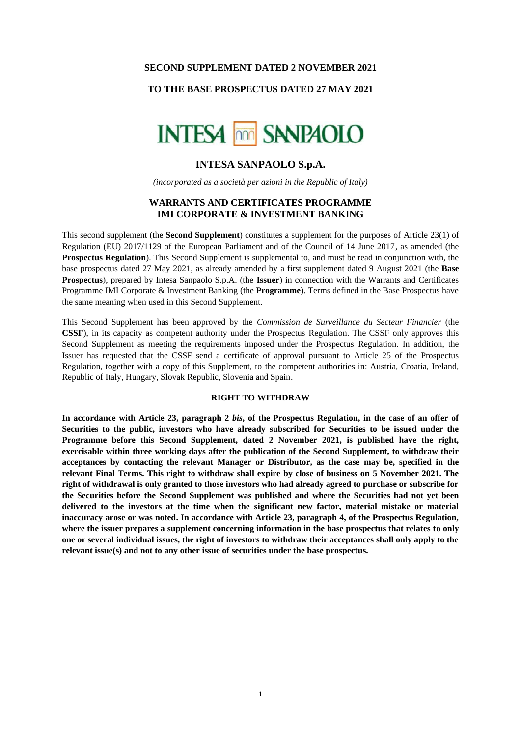#### **SECOND SUPPLEMENT DATED 2 NOVEMBER 2021**

### **TO THE BASE PROSPECTUS DATED 27 MAY 2021**



# **INTESA SANPAOLO S.p.A.**

*(incorporated as a società per azioni in the Republic of Italy)*

## **WARRANTS AND CERTIFICATES PROGRAMME IMI CORPORATE & INVESTMENT BANKING**

This second supplement (the **Second Supplement**) constitutes a supplement for the purposes of Article 23(1) of Regulation (EU) 2017/1129 of the European Parliament and of the Council of 14 June 2017, as amended (the **Prospectus Regulation**). This Second Supplement is supplemental to, and must be read in conjunction with, the base prospectus dated 27 May 2021, as already amended by a first supplement dated 9 August 2021 (the **Base Prospectus**), prepared by Intesa Sanpaolo S.p.A. (the **Issuer**) in connection with the Warrants and Certificates Programme IMI Corporate & Investment Banking (the **Programme**). Terms defined in the Base Prospectus have the same meaning when used in this Second Supplement.

This Second Supplement has been approved by the *Commission de Surveillance du Secteur Financier* (the **CSSF**), in its capacity as competent authority under the Prospectus Regulation. The CSSF only approves this Second Supplement as meeting the requirements imposed under the Prospectus Regulation. In addition, the Issuer has requested that the CSSF send a certificate of approval pursuant to Article 25 of the Prospectus Regulation, together with a copy of this Supplement, to the competent authorities in: Austria, Croatia, Ireland, Republic of Italy, Hungary, Slovak Republic, Slovenia and Spain.

#### **RIGHT TO WITHDRAW**

**In accordance with Article 23, paragraph 2** *bis***, of the Prospectus Regulation, in the case of an offer of Securities to the public, investors who have already subscribed for Securities to be issued under the Programme before this Second Supplement, dated 2 November 2021, is published have the right, exercisable within three working days after the publication of the Second Supplement, to withdraw their acceptances by contacting the relevant Manager or Distributor, as the case may be, specified in the relevant Final Terms. This right to withdraw shall expire by close of business on 5 November 2021. The right of withdrawal is only granted to those investors who had already agreed to purchase or subscribe for the Securities before the Second Supplement was published and where the Securities had not yet been delivered to the investors at the time when the significant new factor, material mistake or material inaccuracy arose or was noted. In accordance with Article 23, paragraph 4, of the Prospectus Regulation, where the issuer prepares a supplement concerning information in the base prospectus that relates to only one or several individual issues, the right of investors to withdraw their acceptances shall only apply to the relevant issue(s) and not to any other issue of securities under the base prospectus.**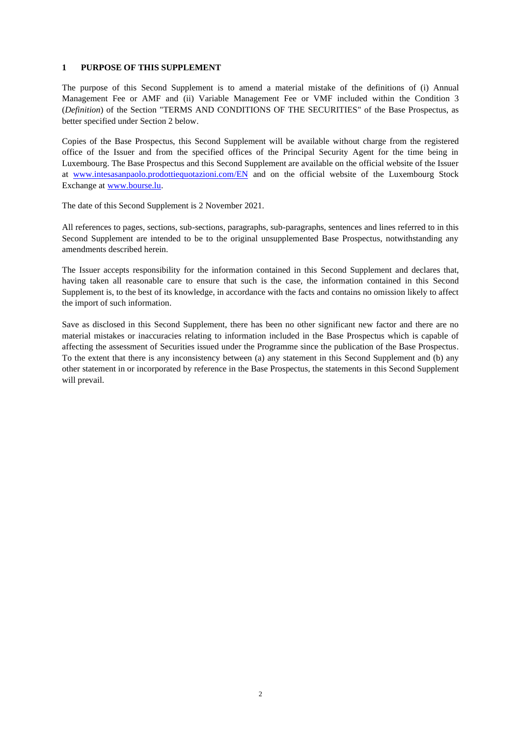#### **1 PURPOSE OF THIS SUPPLEMENT**

The purpose of this Second Supplement is to amend a material mistake of the definitions of (i) Annual Management Fee or AMF and (ii) Variable Management Fee or VMF included within the Condition 3 (*Definition*) of the Section "TERMS AND CONDITIONS OF THE SECURITIES" of the Base Prospectus, as better specified under Section 2 below.

Copies of the Base Prospectus, this Second Supplement will be available without charge from the registered office of the Issuer and from the specified offices of the Principal Security Agent for the time being in Luxembourg. The Base Prospectus and this Second Supplement are available on the official website of the Issuer at [www.intesasanpaolo.prodottiequotazioni.com/](http://www.intesasanpaolo.prodottiequotazioni.com/)EN and on the official website of the Luxembourg Stock Exchange at [www.bourse.lu.](https://www.bourse.lu/home)

The date of this Second Supplement is 2 November 2021.

All references to pages, sections, sub-sections, paragraphs, sub-paragraphs, sentences and lines referred to in this Second Supplement are intended to be to the original unsupplemented Base Prospectus, notwithstanding any amendments described herein.

The Issuer accepts responsibility for the information contained in this Second Supplement and declares that, having taken all reasonable care to ensure that such is the case, the information contained in this Second Supplement is, to the best of its knowledge, in accordance with the facts and contains no omission likely to affect the import of such information.

Save as disclosed in this Second Supplement, there has been no other significant new factor and there are no material mistakes or inaccuracies relating to information included in the Base Prospectus which is capable of affecting the assessment of Securities issued under the Programme since the publication of the Base Prospectus. To the extent that there is any inconsistency between (a) any statement in this Second Supplement and (b) any other statement in or incorporated by reference in the Base Prospectus, the statements in this Second Supplement will prevail.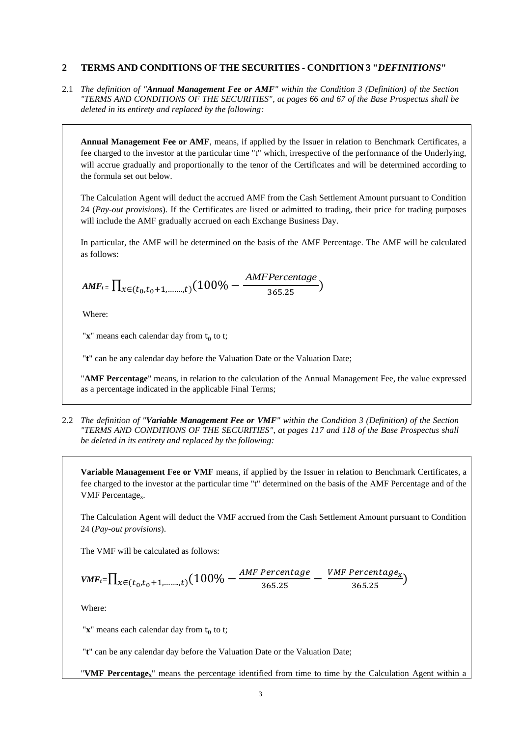## **2 TERMS AND CONDITIONS OF THE SECURITIES - CONDITION 3 "***DEFINITIONS***"**

2.1 *The definition of "Annual Management Fee or AMF" within the Condition 3 (Definition) of the Section "TERMS AND CONDITIONS OF THE SECURITIES", at pages 66 and 67 of the Base Prospectus shall be deleted in its entirety and replaced by the following:*

**Annual Management Fee or AMF**, means, if applied by the Issuer in relation to Benchmark Certificates, a fee charged to the investor at the particular time "t" which, irrespective of the performance of the Underlying, will accrue gradually and proportionally to the tenor of the Certificates and will be determined according to the formula set out below*.*

The Calculation Agent will deduct the accrued AMF from the Cash Settlement Amount pursuant to Condition 24 (*Pay-out provisions*). If the Certificates are listed or admitted to trading, their price for trading purposes will include the AMF gradually accrued on each Exchange Business Day.

In particular, the AMF will be determined on the basis of the AMF Percentage. The AMF will be calculated as follows:

$$
\textit{AMF}_{t} = \prod_{x \in (t_0, t_0+1, \dots, t)} (100\% - \frac{\textit{AMFPercentage}}{\textit{365.25}})
$$

Where:

" $\mathbf{x}$ " means each calendar day from  $\mathbf{t}_0$  to t;

"t" can be any calendar day before the Valuation Date or the Valuation Date;

"**AMF Percentage**" means, in relation to the calculation of the Annual Management Fee, the value expressed as a percentage indicated in the applicable Final Terms;

2.2 *The definition of "Variable Management Fee or VMF" within the Condition 3 (Definition) of the Section "TERMS AND CONDITIONS OF THE SECURITIES"*, *at pages 117 and 118 of the Base Prospectus shall be deleted in its entirety and replaced by the following:*

**Variable Management Fee or VMF** means, if applied by the Issuer in relation to Benchmark Certificates, a fee charged to the investor at the particular time "t" determined on the basis of the AMF Percentage and of the VMF Percentage<sub>x</sub>.

The Calculation Agent will deduct the VMF accrued from the Cash Settlement Amount pursuant to Condition 24 (*Pay-out provisions*).

The VMF will be calculated as follows:

$$
\textit{VMF}_{t} = \prod_{x \in (t_0, t_0+1, \dots, t)} (100\% - \frac{\textit{AMF Percentage}}{\textit{365.25}} - \frac{\textit{VMF Percentage}_x}{\textit{365.25}})
$$

Where:

" $\mathbf{x}$ " means each calendar day from  $\mathbf{t}_0$  to t;

"**t**" can be any calendar day before the Valuation Date or the Valuation Date;

"**VMF Percentagex**" means the percentage identified from time to time by the Calculation Agent within a